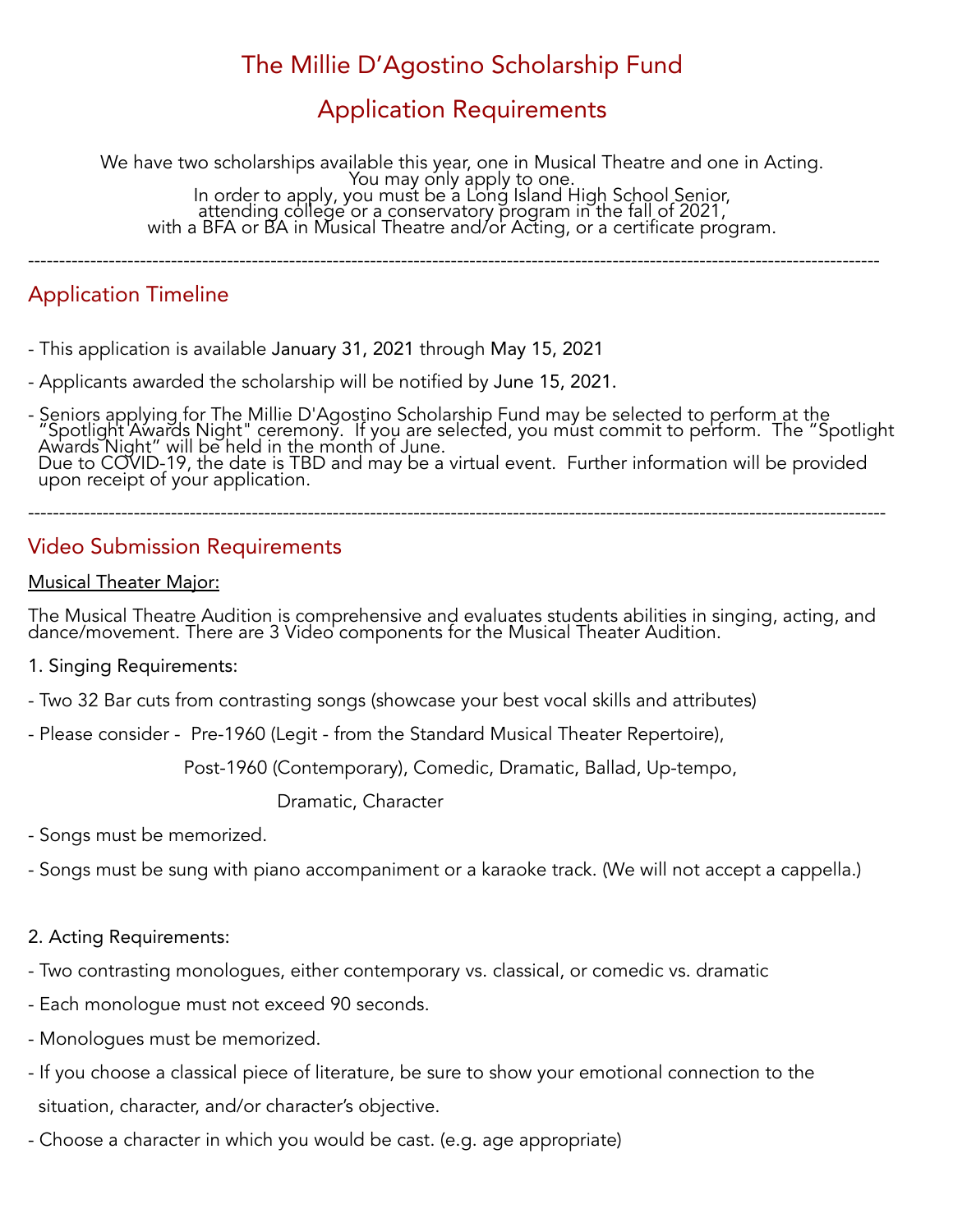# The Millie D'Agostino Scholarship Fund

## Application Requirements

We have two scholarships available this year, one in Musical Theatre and one in Acting. You may only apply to one. In order to apply, you must be a Long Island High School Senior, attending college or a conservatory program in the fall of 2021, with a BFA or BA in Musical Theatre and/or Acting, or a certificate program.

-----------------------------------------------------------------------------------------------------------------------------------------

## Application Timeline

- This application is available January 31, 2021 through May 15, 2021
- Applicants awarded the scholarship will be notified by June 15, 2021.
- Seniors applying for The Millie D'Agostino Scholarship Fund may be selected to perform at the "Spotlight Awards Night" ceremony. If you are selected, you must commit to perform. The "Spotlight Awards Night" will be held in the month of June. Due to COVID-19, the date is TBD and may be a virtual event. Further information will be provided upon receipt of your application.

------------------------------------------------------------------------------------------------------------------------------------------

### Video Submission Requirements

#### Musical Theater Major:

The Musical Theatre Audition is comprehensive and evaluates students abilities in singing, acting, and dance/movement. There are 3 Video components for the Musical Theater Audition.

- 1. Singing Requirements:
- Two 32 Bar cuts from contrasting songs (showcase your best vocal skills and attributes)
- Please consider Pre-1960 (Legit from the Standard Musical Theater Repertoire),

Post-1960 (Contemporary), Comedic, Dramatic, Ballad, Up-tempo,

Dramatic, Character

- Songs must be memorized.
- Songs must be sung with piano accompaniment or a karaoke track. (We will not accept a cappella.)

#### 2. Acting Requirements:

- Two contrasting monologues, either contemporary vs. classical, or comedic vs. dramatic
- Each monologue must not exceed 90 seconds.
- Monologues must be memorized.
- If you choose a classical piece of literature, be sure to show your emotional connection to the situation, character, and/or character's objective.
- Choose a character in which you would be cast. (e.g. age appropriate)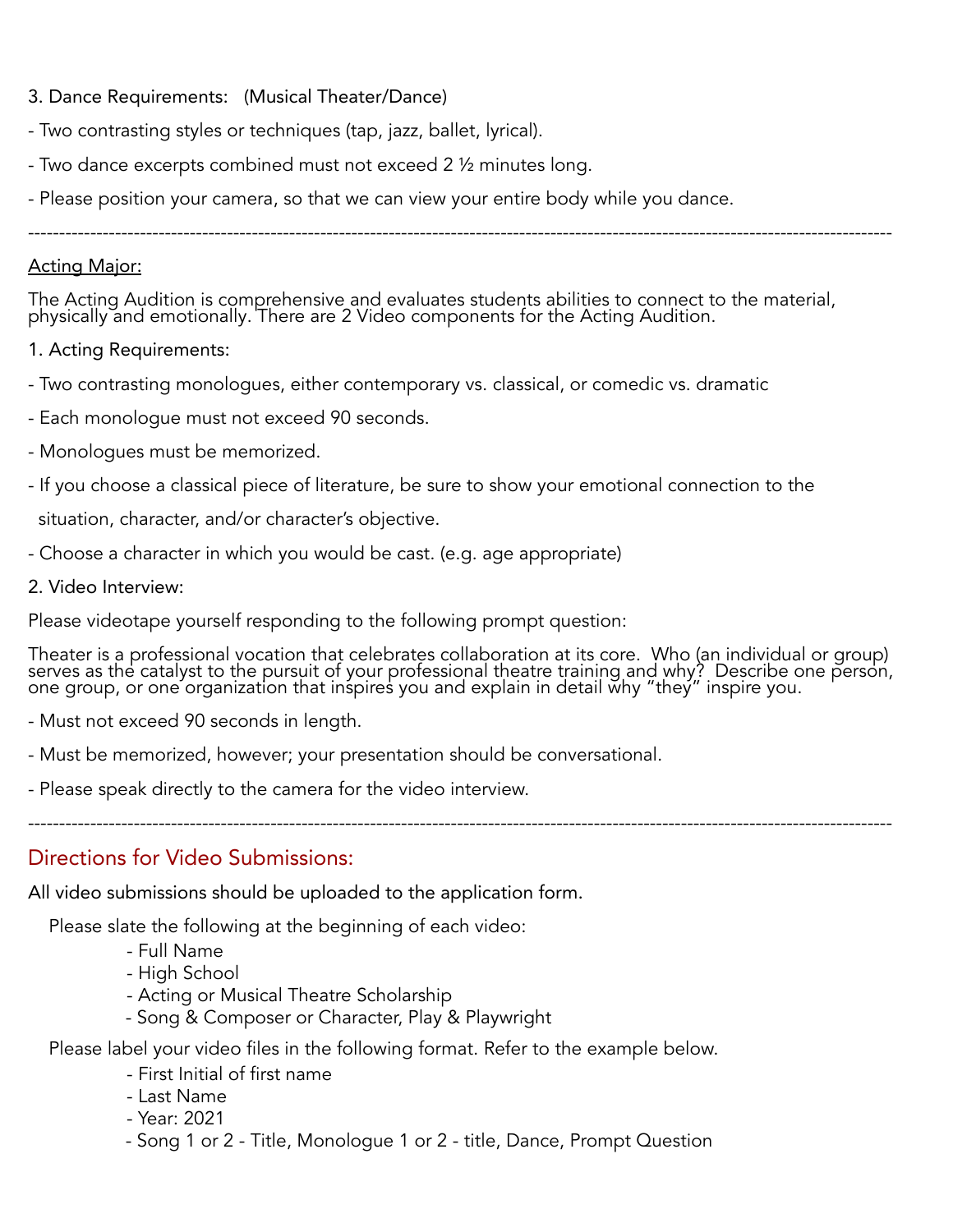### 3. Dance Requirements: (Musical Theater/Dance)

- Two contrasting styles or techniques (tap, jazz, ballet, lyrical).
- Two dance excerpts combined must not exceed 2 ½ minutes long.
- Please position your camera, so that we can view your entire body while you dance.

-------------------------------------------------------------------------------------------------------------------------------------------

#### Acting Major:

The Acting Audition is comprehensive and evaluates students abilities to connect to the material, physically and emotionally. There are 2 Video components for the Acting Audition.

- 1. Acting Requirements:
- Two contrasting monologues, either contemporary vs. classical, or comedic vs. dramatic
- Each monologue must not exceed 90 seconds.
- Monologues must be memorized.
- If you choose a classical piece of literature, be sure to show your emotional connection to the

situation, character, and/or character's objective.

- Choose a character in which you would be cast. (e.g. age appropriate)
- 2. Video Interview:

Please videotape yourself responding to the following prompt question:

Theater is a professional vocation that celebrates collaboration at its core. Who (an individual or group) serves as the catalyst to the pursuit of your professional theatre training and why? Describe one person, one group, or one organization that inspires you and explain in detail why "they" inspire you.

-------------------------------------------------------------------------------------------------------------------------------------------

- Must not exceed 90 seconds in length.
- Must be memorized, however; your presentation should be conversational.
- Please speak directly to the camera for the video interview.

Directions for Video Submissions:

All video submissions should be uploaded to the application form.

Please slate the following at the beginning of each video:

- Full Name
- High School
- Acting or Musical Theatre Scholarship
- Song & Composer or Character, Play & Playwright

Please label your video files in the following format. Refer to the example below.

- First Initial of first name
- Last Name
- Year: 2021
- Song 1 or 2 Title, Monologue 1 or 2 title, Dance, Prompt Question